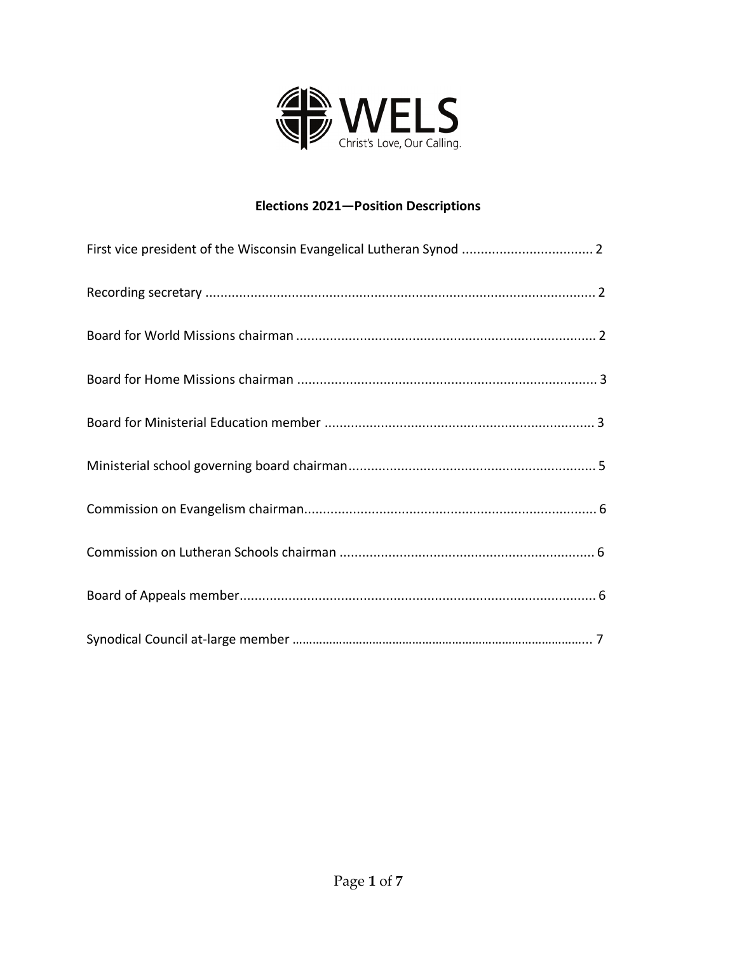

### **Elections 2021—Position Descriptions**

| First vice president of the Wisconsin Evangelical Lutheran Synod  2 |
|---------------------------------------------------------------------|
|                                                                     |
|                                                                     |
|                                                                     |
|                                                                     |
|                                                                     |
|                                                                     |
|                                                                     |
|                                                                     |
|                                                                     |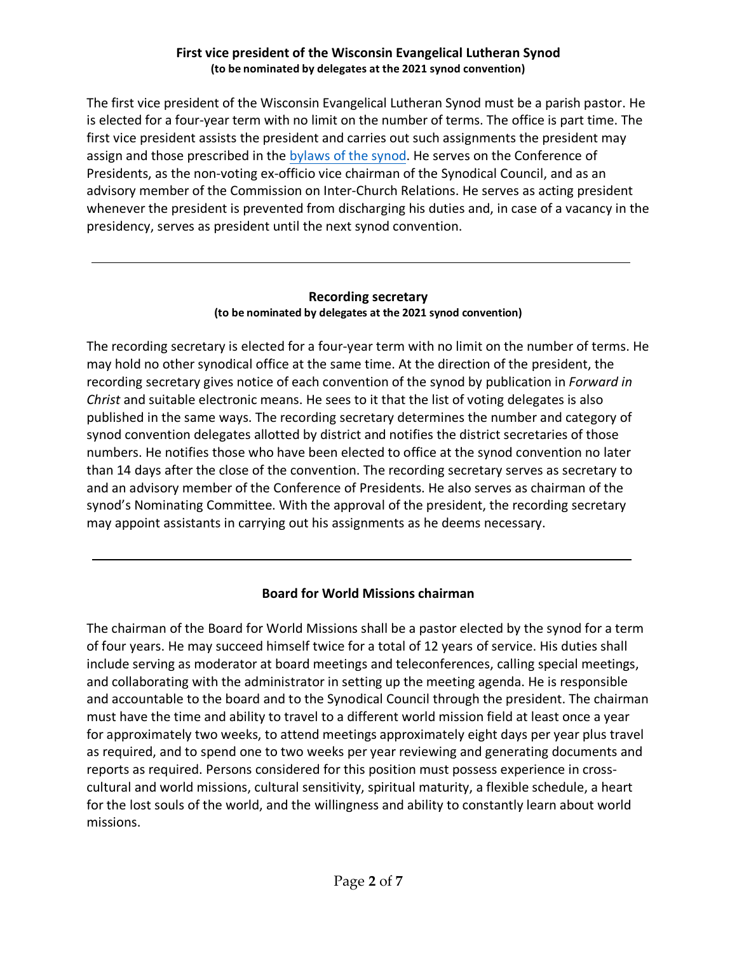### **First vice president of the Wisconsin Evangelical Lutheran Synod (to be nominated by delegates at the 2021 synod convention)**

<span id="page-1-0"></span>The first vice president of the Wisconsin Evangelical Lutheran Synod must be a parish pastor. He is elected for a four-year term with no limit on the number of terms. The office is part time. The first vice president assists the president and carries out such assignments the president may assign and those prescribed in the [bylaws of the synod.](https://synodadmin.welsrc.net/download-synodadmin/official-synod-reports/?wpdmdl=3263&ind=1569592204802) He serves on the Conference of Presidents, as the non-voting ex-officio vice chairman of the Synodical Council, and as an advisory member of the Commission on Inter-Church Relations. He serves as acting president whenever the president is prevented from discharging his duties and, in case of a vacancy in the presidency, serves as president until the next synod convention.

#### **Recording secretary (to be nominated by delegates at the 2021 synod convention)**

The recording secretary is elected for a four-year term with no limit on the number of terms. He may hold no other synodical office at the same time. At the direction of the president, the recording secretary gives notice of each convention of the synod by publication in *Forward in Christ* and suitable electronic means. He sees to it that the list of voting delegates is also published in the same ways. The recording secretary determines the number and category of synod convention delegates allotted by district and notifies the district secretaries of those numbers. He notifies those who have been elected to office at the synod convention no later than 14 days after the close of the convention. The recording secretary serves as secretary to and an advisory member of the Conference of Presidents. He also serves as chairman of the synod's Nominating Committee. With the approval of the president, the recording secretary may appoint assistants in carrying out his assignments as he deems necessary.

## **Board for World Missions chairman**

The chairman of the Board for World Missions shall be a pastor elected by the synod for a term of four years. He may succeed himself twice for a total of 12 years of service. His duties shall include serving as moderator at board meetings and teleconferences, calling special meetings, and collaborating with the administrator in setting up the meeting agenda. He is responsible and accountable to the board and to the Synodical Council through the president. The chairman must have the time and ability to travel to a different world mission field at least once a year for approximately two weeks, to attend meetings approximately eight days per year plus travel as required, and to spend one to two weeks per year reviewing and generating documents and reports as required. Persons considered for this position must possess experience in crosscultural and world missions, cultural sensitivity, spiritual maturity, a flexible schedule, a heart for the lost souls of the world, and the willingness and ability to constantly learn about world missions.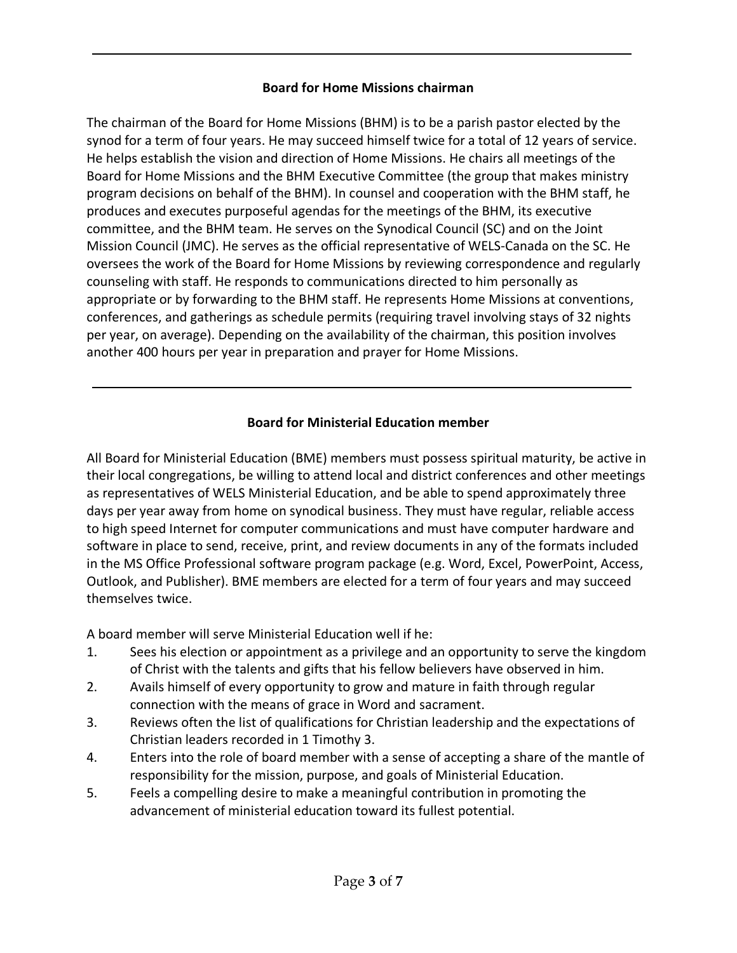### **Board for Home Missions chairman**

<span id="page-2-0"></span>The chairman of the Board for Home Missions (BHM) is to be a parish pastor elected by the synod for a term of four years. He may succeed himself twice for a total of 12 years of service. He helps establish the vision and direction of Home Missions. He chairs all meetings of the Board for Home Missions and the BHM Executive Committee (the group that makes ministry program decisions on behalf of the BHM). In counsel and cooperation with the BHM staff, he produces and executes purposeful agendas for the meetings of the BHM, its executive committee, and the BHM team. He serves on the Synodical Council (SC) and on the Joint Mission Council (JMC). He serves as the official representative of WELS-Canada on the SC. He oversees the work of the Board for Home Missions by reviewing correspondence and regularly counseling with staff. He responds to communications directed to him personally as appropriate or by forwarding to the BHM staff. He represents Home Missions at conventions, conferences, and gatherings as schedule permits (requiring travel involving stays of 32 nights per year, on average). Depending on the availability of the chairman, this position involves another 400 hours per year in preparation and prayer for Home Missions.

## **Board for Ministerial Education member**

All Board for Ministerial Education (BME) members must possess spiritual maturity, be active in their local congregations, be willing to attend local and district conferences and other meetings as representatives of WELS Ministerial Education, and be able to spend approximately three days per year away from home on synodical business. They must have regular, reliable access to high speed Internet for computer communications and must have computer hardware and software in place to send, receive, print, and review documents in any of the formats included in the MS Office Professional software program package (e.g. Word, Excel, PowerPoint, Access, Outlook, and Publisher). BME members are elected for a term of four years and may succeed themselves twice.

A board member will serve Ministerial Education well if he:

- 1. Sees his election or appointment as a privilege and an opportunity to serve the kingdom of Christ with the talents and gifts that his fellow believers have observed in him.
- 2. Avails himself of every opportunity to grow and mature in faith through regular connection with the means of grace in Word and sacrament.
- 3. Reviews often the list of qualifications for Christian leadership and the expectations of Christian leaders recorded in 1 Timothy 3.
- 4. Enters into the role of board member with a sense of accepting a share of the mantle of responsibility for the mission, purpose, and goals of Ministerial Education.
- 5. Feels a compelling desire to make a meaningful contribution in promoting the advancement of ministerial education toward its fullest potential.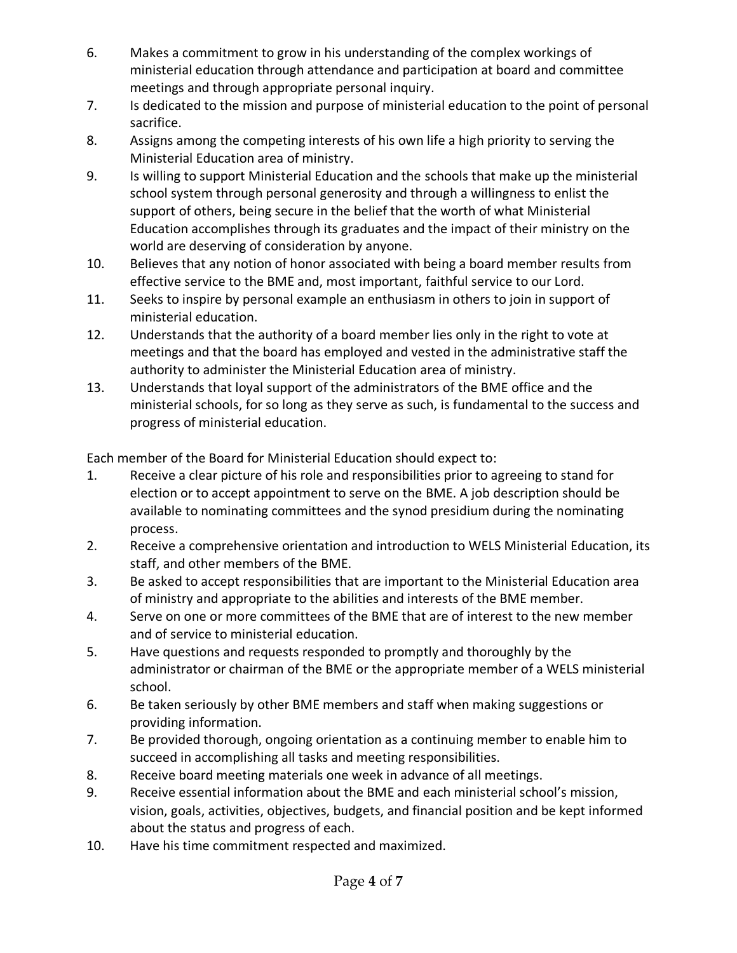- 6. Makes a commitment to grow in his understanding of the complex workings of ministerial education through attendance and participation at board and committee meetings and through appropriate personal inquiry.
- 7. Is dedicated to the mission and purpose of ministerial education to the point of personal sacrifice.
- 8. Assigns among the competing interests of his own life a high priority to serving the Ministerial Education area of ministry.
- 9. Is willing to support Ministerial Education and the schools that make up the ministerial school system through personal generosity and through a willingness to enlist the support of others, being secure in the belief that the worth of what Ministerial Education accomplishes through its graduates and the impact of their ministry on the world are deserving of consideration by anyone.
- 10. Believes that any notion of honor associated with being a board member results from effective service to the BME and, most important, faithful service to our Lord.
- 11. Seeks to inspire by personal example an enthusiasm in others to join in support of ministerial education.
- 12. Understands that the authority of a board member lies only in the right to vote at meetings and that the board has employed and vested in the administrative staff the authority to administer the Ministerial Education area of ministry.
- 13. Understands that loyal support of the administrators of the BME office and the ministerial schools, for so long as they serve as such, is fundamental to the success and progress of ministerial education.

Each member of the Board for Ministerial Education should expect to:

- 1. Receive a clear picture of his role and responsibilities prior to agreeing to stand for election or to accept appointment to serve on the BME. A job description should be available to nominating committees and the synod presidium during the nominating process.
- 2. Receive a comprehensive orientation and introduction to WELS Ministerial Education, its staff, and other members of the BME.
- 3. Be asked to accept responsibilities that are important to the Ministerial Education area of ministry and appropriate to the abilities and interests of the BME member.
- 4. Serve on one or more committees of the BME that are of interest to the new member and of service to ministerial education.
- 5. Have questions and requests responded to promptly and thoroughly by the administrator or chairman of the BME or the appropriate member of a WELS ministerial school.
- 6. Be taken seriously by other BME members and staff when making suggestions or providing information.
- 7. Be provided thorough, ongoing orientation as a continuing member to enable him to succeed in accomplishing all tasks and meeting responsibilities.
- 8. Receive board meeting materials one week in advance of all meetings.
- 9. Receive essential information about the BME and each ministerial school's mission, vision, goals, activities, objectives, budgets, and financial position and be kept informed about the status and progress of each.
- 10. Have his time commitment respected and maximized.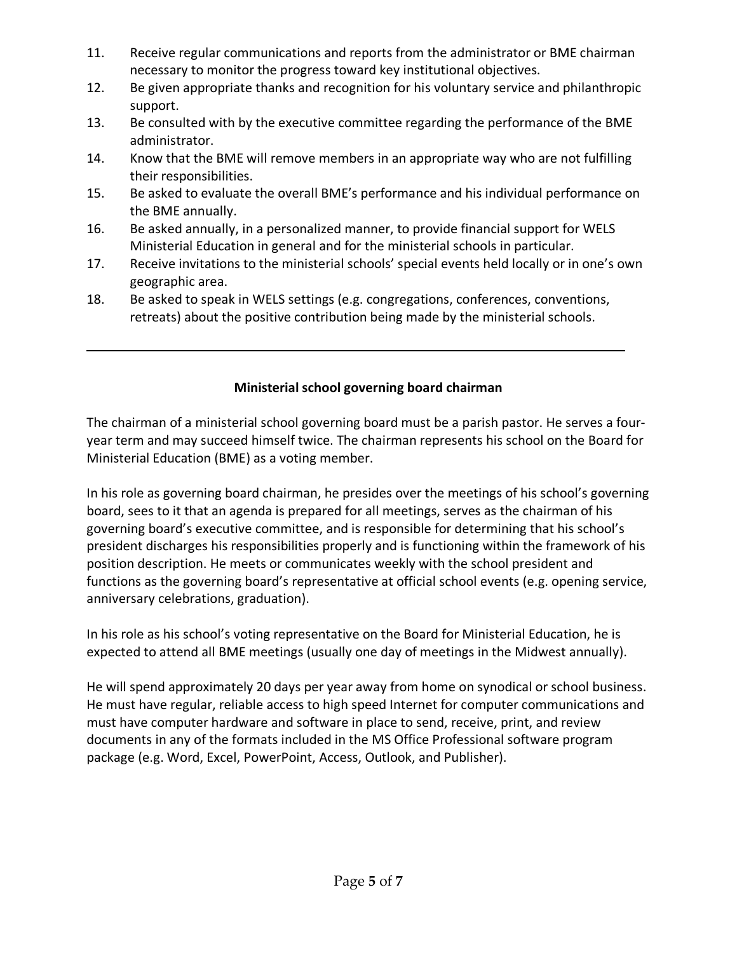- <span id="page-4-0"></span>11. Receive regular communications and reports from the administrator or BME chairman necessary to monitor the progress toward key institutional objectives.
- 12. Be given appropriate thanks and recognition for his voluntary service and philanthropic support.
- 13. Be consulted with by the executive committee regarding the performance of the BME administrator.
- 14. Know that the BME will remove members in an appropriate way who are not fulfilling their responsibilities.
- 15. Be asked to evaluate the overall BME's performance and his individual performance on the BME annually.
- 16. Be asked annually, in a personalized manner, to provide financial support for WELS Ministerial Education in general and for the ministerial schools in particular.
- 17. Receive invitations to the ministerial schools' special events held locally or in one's own geographic area.
- 18. Be asked to speak in WELS settings (e.g. congregations, conferences, conventions, retreats) about the positive contribution being made by the ministerial schools.

# **Ministerial school governing board chairman**

The chairman of a ministerial school governing board must be a parish pastor. He serves a fouryear term and may succeed himself twice. The chairman represents his school on the Board for Ministerial Education (BME) as a voting member.

In his role as governing board chairman, he presides over the meetings of his school's governing board, sees to it that an agenda is prepared for all meetings, serves as the chairman of his governing board's executive committee, and is responsible for determining that his school's president discharges his responsibilities properly and is functioning within the framework of his position description. He meets or communicates weekly with the school president and functions as the governing board's representative at official school events (e.g. opening service, anniversary celebrations, graduation).

In his role as his school's voting representative on the Board for Ministerial Education, he is expected to attend all BME meetings (usually one day of meetings in the Midwest annually).

He will spend approximately 20 days per year away from home on synodical or school business. He must have regular, reliable access to high speed Internet for computer communications and must have computer hardware and software in place to send, receive, print, and review documents in any of the formats included in the MS Office Professional software program package (e.g. Word, Excel, PowerPoint, Access, Outlook, and Publisher).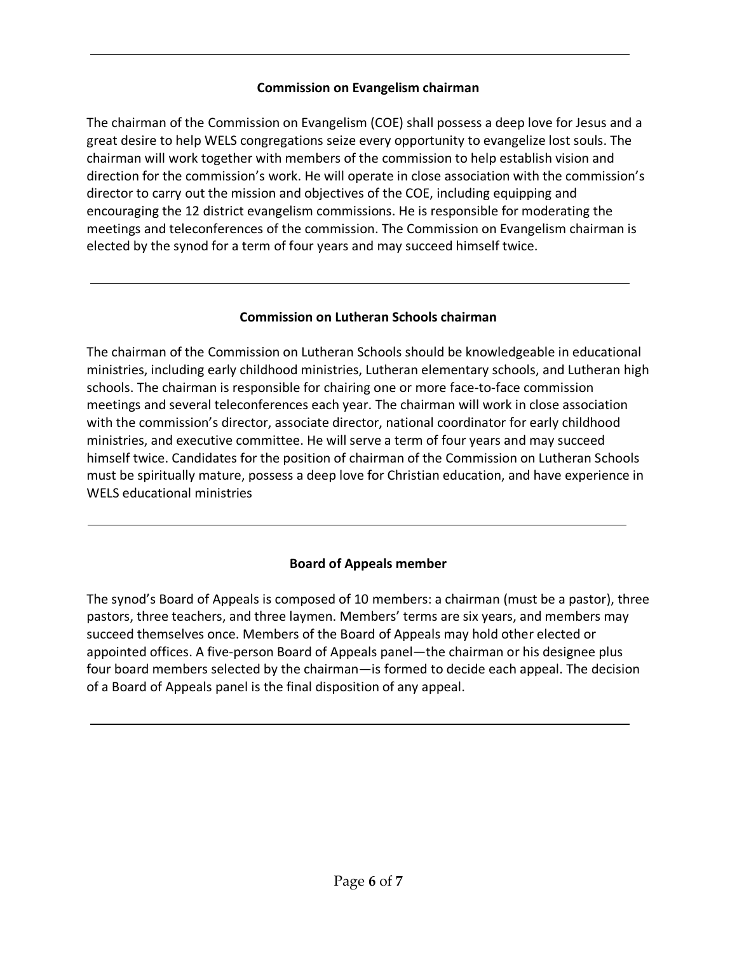### **Commission on Evangelism chairman**

<span id="page-5-0"></span>The chairman of the Commission on Evangelism (COE) shall possess a deep love for Jesus and a great desire to help WELS congregations seize every opportunity to evangelize lost souls. The chairman will work together with members of the commission to help establish vision and direction for the commission's work. He will operate in close association with the commission's director to carry out the mission and objectives of the COE, including equipping and encouraging the 12 district evangelism commissions. He is responsible for moderating the meetings and teleconferences of the commission. The Commission on Evangelism chairman is elected by the synod for a term of four years and may succeed himself twice.

### **Commission on Lutheran Schools chairman**

The chairman of the Commission on Lutheran Schools should be knowledgeable in educational ministries, including early childhood ministries, Lutheran elementary schools, and Lutheran high schools. The chairman is responsible for chairing one or more face-to-face commission meetings and several teleconferences each year. The chairman will work in close association with the commission's director, associate director, national coordinator for early childhood ministries, and executive committee. He will serve a term of four years and may succeed himself twice. Candidates for the position of chairman of the Commission on Lutheran Schools must be spiritually mature, possess a deep love for Christian education, and have experience in WELS educational ministries

## **Board of Appeals member**

The synod's Board of Appeals is composed of 10 members: a chairman (must be a pastor), three pastors, three teachers, and three laymen. Members' terms are six years, and members may succeed themselves once. Members of the Board of Appeals may hold other elected or appointed offices. A five-person Board of Appeals panel—the chairman or his designee plus four board members selected by the chairman—is formed to decide each appeal. The decision of a Board of Appeals panel is the final disposition of any appeal.